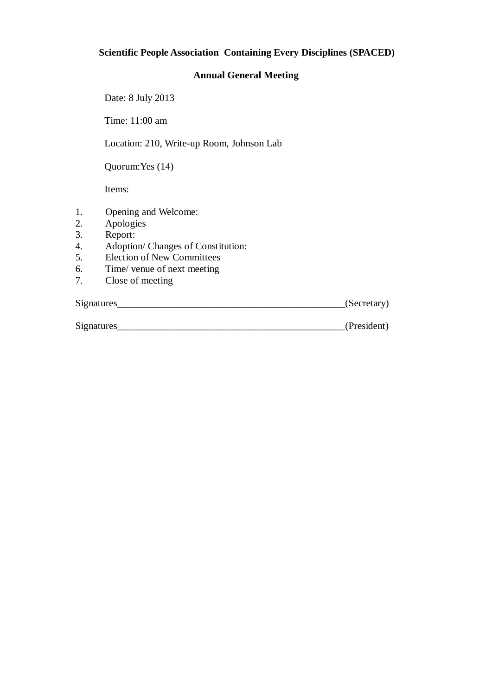# **Scientific People Association Containing Every Disciplines (SPACED)**

#### **Annual General Meeting**

Date: 8 July 2013

Time: 11:00 am

Location: 210, Write-up Room, Johnson Lab

Quorum:Yes (14)

Items:

- 1. Opening and Welcome:
- 2. Apologies
- 3. Report:
- 4. Adoption/ Changes of Constitution:
- 5. Election of New Committees
- 6. Time/ venue of next meeting<br>7. Close of meeting
- Close of meeting

Signatures (Secretary)

| Signatures | President |
|------------|-----------|
|            |           |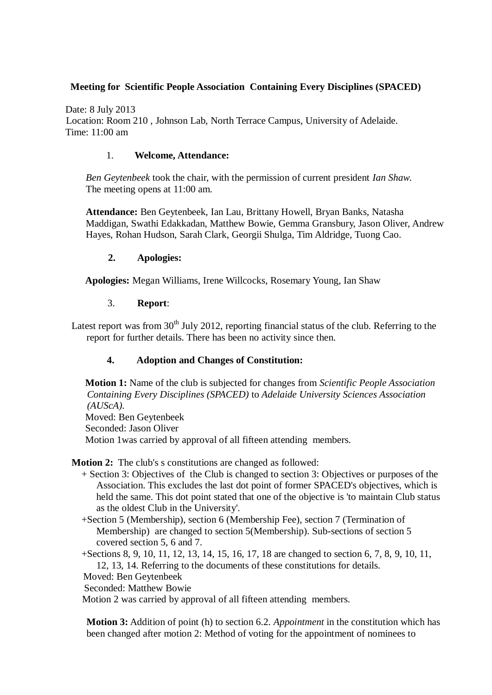## **Meeting for Scientific People Association Containing Every Disciplines (SPACED)**

Date: 8 July 2013 Location: Room 210 , Johnson Lab, North Terrace Campus, University of Adelaide. Time: 11:00 am

#### 1. **Welcome, Attendance:**

*Ben Geytenbeek* took the chair, with the permission of current president *Ian Shaw*. The meeting opens at 11:00 am.

**Attendance:** Ben Geytenbeek, Ian Lau, Brittany Howell, Bryan Banks, Natasha Maddigan, Swathi Edakkadan, Matthew Bowie, Gemma Gransbury, Jason Oliver, Andrew Hayes, Rohan Hudson, Sarah Clark, Georgii Shulga, Tim Aldridge, Tuong Cao.

#### **2. Apologies:**

**Apologies:** Megan Williams, Irene Willcocks, Rosemary Young, Ian Shaw

#### 3. **Report**:

Latest report was from  $30<sup>th</sup>$  July 2012, reporting financial status of the club. Referring to the report for further details. There has been no activity since then.

### **4. Adoption and Changes of Constitution:**

**Motion 1:** Name of the club is subjected for changes from *Scientific People Association Containing Every Disciplines (SPACED)* to *Adelaide University Sciences Association (AUScA).* Moved: Ben Geytenbeek Seconded: Jason Oliver Motion 1was carried by approval of all fifteen attending members.

**Motion 2:** The club's s constitutions are changed as followed:

- + Section 3: Objectives of the Club is changed to section 3: Objectives or purposes of the Association. This excludes the last dot point of former SPACED's objectives, which is held the same. This dot point stated that one of the objective is 'to maintain Club status as the oldest Club in the University'.
- +Section 5 (Membership), section 6 (Membership Fee), section 7 (Termination of Membership) are changed to section 5(Membership). Sub-sections of section 5 covered section 5, 6 and 7.

+Sections 8, 9, 10, 11, 12, 13, 14, 15, 16, 17, 18 are changed to section 6, 7, 8, 9, 10, 11, 12, 13, 14. Referring to the documents of these constitutions for details.

Moved: Ben Geytenbeek

Seconded: Matthew Bowie

Motion 2 was carried by approval of all fifteen attending members.

**Motion 3:** Addition of point (h) to section 6.2. *Appointment* in the constitution which has been changed after motion 2: Method of voting for the appointment of nominees to